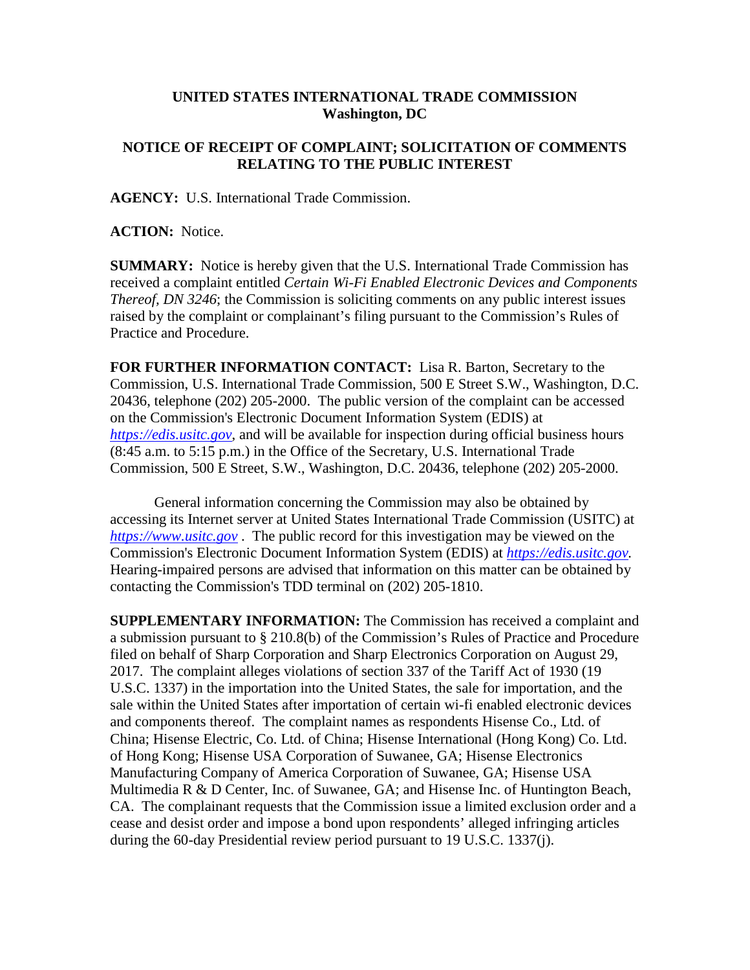## **UNITED STATES INTERNATIONAL TRADE COMMISSION Washington, DC**

## **NOTICE OF RECEIPT OF COMPLAINT; SOLICITATION OF COMMENTS RELATING TO THE PUBLIC INTEREST**

**AGENCY:** U.S. International Trade Commission.

**ACTION:** Notice.

**SUMMARY:** Notice is hereby given that the U.S. International Trade Commission has received a complaint entitled *Certain Wi-Fi Enabled Electronic Devices and Components Thereof, DN 3246*; the Commission is soliciting comments on any public interest issues raised by the complaint or complainant's filing pursuant to the Commission's Rules of Practice and Procedure.

**FOR FURTHER INFORMATION CONTACT:** Lisa R. Barton, Secretary to the Commission, U.S. International Trade Commission, 500 E Street S.W., Washington, D.C. 20436, telephone (202) 205-2000. The public version of the complaint can be accessed on the Commission's Electronic Document Information System (EDIS) at *[https://edis.usitc.gov](https://edis.usitc.gov/)*, and will be available for inspection during official business hours (8:45 a.m. to 5:15 p.m.) in the Office of the Secretary, U.S. International Trade Commission, 500 E Street, S.W., Washington, D.C. 20436, telephone (202) 205-2000.

General information concerning the Commission may also be obtained by accessing its Internet server at United States International Trade Commission (USITC) at *[https://www.usitc.gov](https://www.usitc.gov/)* . The public record for this investigation may be viewed on the Commission's Electronic Document Information System (EDIS) at *[https://edis.usitc.gov.](https://edis.usitc.gov/)* Hearing-impaired persons are advised that information on this matter can be obtained by contacting the Commission's TDD terminal on (202) 205-1810.

**SUPPLEMENTARY INFORMATION:** The Commission has received a complaint and a submission pursuant to § 210.8(b) of the Commission's Rules of Practice and Procedure filed on behalf of Sharp Corporation and Sharp Electronics Corporation on August 29, 2017. The complaint alleges violations of section 337 of the Tariff Act of 1930 (19 U.S.C. 1337) in the importation into the United States, the sale for importation, and the sale within the United States after importation of certain wi-fi enabled electronic devices and components thereof. The complaint names as respondents Hisense Co., Ltd. of China; Hisense Electric, Co. Ltd. of China; Hisense International (Hong Kong) Co. Ltd. of Hong Kong; Hisense USA Corporation of Suwanee, GA; Hisense Electronics Manufacturing Company of America Corporation of Suwanee, GA; Hisense USA Multimedia R & D Center, Inc. of Suwanee, GA; and Hisense Inc. of Huntington Beach, CA. The complainant requests that the Commission issue a limited exclusion order and a cease and desist order and impose a bond upon respondents' alleged infringing articles during the 60-day Presidential review period pursuant to 19 U.S.C. 1337(j).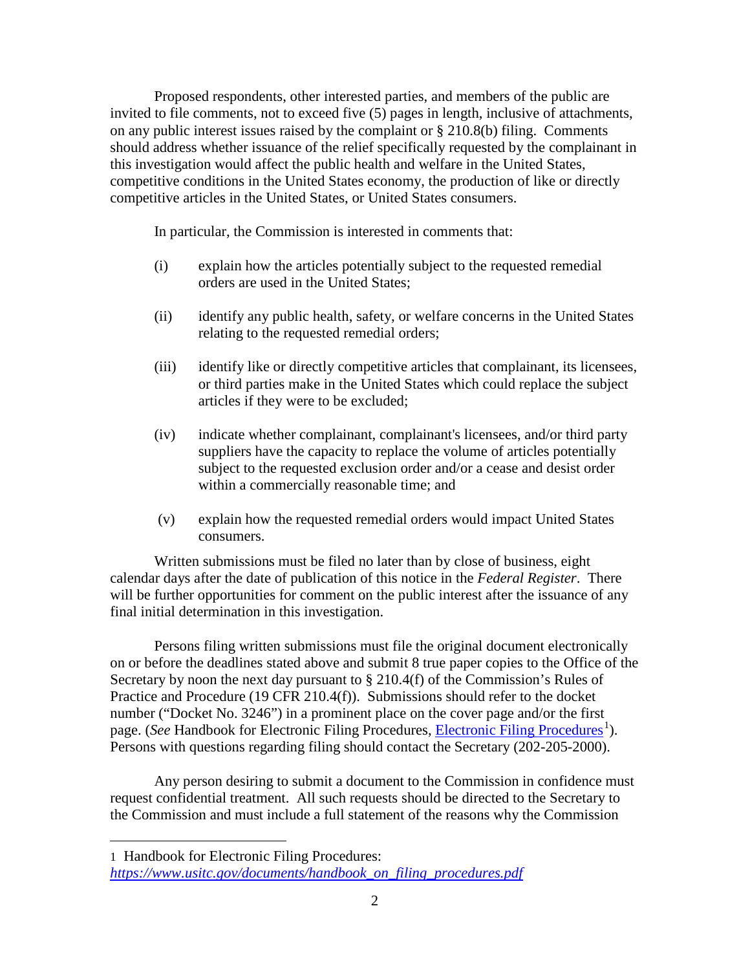Proposed respondents, other interested parties, and members of the public are invited to file comments, not to exceed five (5) pages in length, inclusive of attachments, on any public interest issues raised by the complaint or § 210.8(b) filing. Comments should address whether issuance of the relief specifically requested by the complainant in this investigation would affect the public health and welfare in the United States, competitive conditions in the United States economy, the production of like or directly competitive articles in the United States, or United States consumers.

In particular, the Commission is interested in comments that:

- (i) explain how the articles potentially subject to the requested remedial orders are used in the United States;
- (ii) identify any public health, safety, or welfare concerns in the United States relating to the requested remedial orders;
- (iii) identify like or directly competitive articles that complainant, its licensees, or third parties make in the United States which could replace the subject articles if they were to be excluded;
- (iv) indicate whether complainant, complainant's licensees, and/or third party suppliers have the capacity to replace the volume of articles potentially subject to the requested exclusion order and/or a cease and desist order within a commercially reasonable time; and
- (v) explain how the requested remedial orders would impact United States consumers.

Written submissions must be filed no later than by close of business, eight calendar days after the date of publication of this notice in the *Federal Register*. There will be further opportunities for comment on the public interest after the issuance of any final initial determination in this investigation.

Persons filing written submissions must file the original document electronically on or before the deadlines stated above and submit 8 true paper copies to the Office of the Secretary by noon the next day pursuant to  $\S 210.4(f)$  of the Commission's Rules of Practice and Procedure (19 CFR 210.4(f)). Submissions should refer to the docket number ("Docket No. 3246") in a prominent place on the cover page and/or the first page. (*See* Handbook for [Electronic Filing Procedures](https://www.usitc.gov/documents/handbook_on_filing_procedures.pdf), *Electronic Filing Procedures*<sup>[1](#page-1-0)</sup>). Persons with questions regarding filing should contact the Secretary (202-205-2000).

Any person desiring to submit a document to the Commission in confidence must request confidential treatment. All such requests should be directed to the Secretary to the Commission and must include a full statement of the reasons why the Commission

 $\overline{a}$ 

<span id="page-1-0"></span><sup>1</sup> Handbook for Electronic Filing Procedures: *[https://www.usitc.gov/documents/handbook\\_on\\_filing\\_procedures.pdf](https://www.usitc.gov/documents/handbook_on_filing_procedures.pdf)*